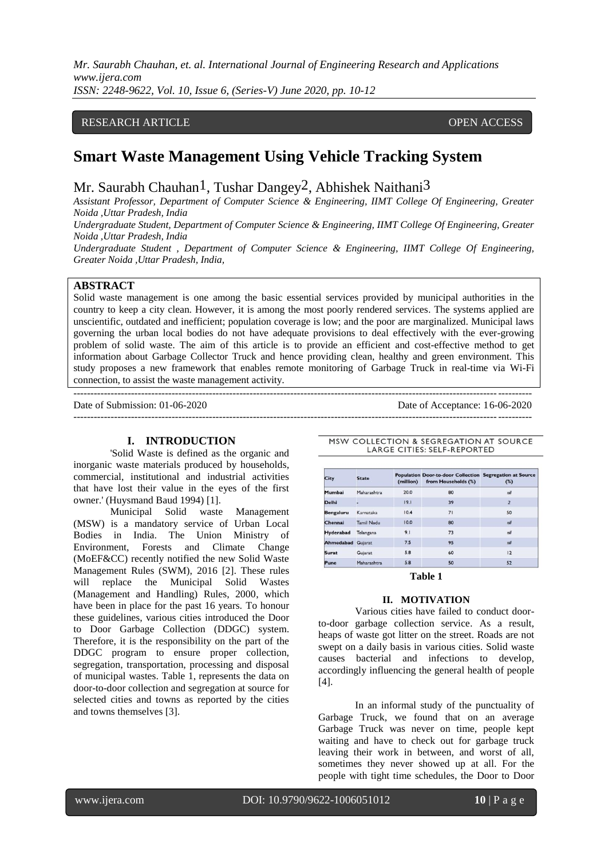*Mr. Saurabh Chauhan, et. al. International Journal of Engineering Research and Applications www.ijera.com ISSN: 2248-9622, Vol. 10, Issue 6, (Series-V) June 2020, pp. 10-12*

# RESEARCH ARTICLE **CONSERVERS** OPEN ACCESS

# **Smart Waste Management Using Vehicle Tracking System**

Mr. Saurabh Chauhan<sup>1</sup>, Tushar Dangey<sup>2</sup>, Abhishek Naithani<sup>3</sup>

*Assistant Professor, Department of Computer Science & Engineering, IIMT College Of Engineering, Greater Noida ,Uttar Pradesh, India*

*Undergraduate Student, Department of Computer Science & Engineering, IIMT College Of Engineering, Greater Noida ,Uttar Pradesh, India*

*Undergraduate Student , Department of Computer Science & Engineering, IIMT College Of Engineering, Greater Noida ,Uttar Pradesh, India,*

# **ABSTRACT**

Solid waste management is one among the basic essential services provided by municipal authorities in the country to keep a city clean. However, it is among the most poorly rendered services. The systems applied are unscientific, outdated and inefficient; population coverage is low; and the poor are marginalized. Municipal laws governing the urban local bodies do not have adequate provisions to deal effectively with the ever-growing problem of solid waste. The aim of this article is to provide an efficient and cost-effective method to get information about Garbage Collector Truck and hence providing clean, healthy and green environment. This study proposes a new framework that enables remote monitoring of Garbage Truck in real-time via Wi-Fi connection, to assist the waste management activity.

---------------------------------------------------------------------------------------------------------------------------------------

Date of Submission: 01-06-2020 Date of Acceptance: 16-06-2020

 $-1-\frac{1}{2}$ 

## **I. INTRODUCTION**

'Solid Waste is defined as the organic and inorganic waste materials produced by households, commercial, institutional and industrial activities that have lost their value in the eyes of the first owner.' (Huysmand Baud 1994) [1].

Municipal Solid waste Management (MSW) is a mandatory service of Urban Local Bodies in India. The Union Ministry of Environment, Forests and Climate Change (MoEF&CC) recently notified the new Solid Waste Management Rules (SWM), 2016 [2]. These rules will replace the [Municipal Solid Wastes](http://www.indiaenvironmentportal.org.in/reports-documents/municipal-solid-wastes-management-and-handling-rules-2000)  [\(Management and Handling\) Rules, 2000,](http://www.indiaenvironmentportal.org.in/reports-documents/municipal-solid-wastes-management-and-handling-rules-2000) which have been in place for the past 16 years. To honour these guidelines, various cities introduced the Door to Door Garbage Collection (DDGC) system. Therefore, it is the responsibility on the part of the DDGC program to ensure proper collection, segregation, transportation, processing and disposal of municipal wastes. Table 1, represents the data on door-to-door collection and segregation at source for selected cities and towns as reported by the cities and towns themselves [3].

LARGE CITIES: SELF-REPORTED

MSW COLLECTION & SEGREGATION AT SOURCE

| <b>City</b>              | <b>State</b>      | (million) | Population Door-to-door Collection Segregation at Source<br>from Households (%) | (%)            |
|--------------------------|-------------------|-----------|---------------------------------------------------------------------------------|----------------|
| Mumbai                   | Maharashtra       | 20.0      | 80                                                                              | nil            |
| <b>Delhi</b>             | ۰                 | 19.1      | 39                                                                              | $\overline{2}$ |
| Bengaluru                | Karnataka         | 10.4      | 71                                                                              | 50             |
| Chennai                  | <b>Tamil Nadu</b> | 10.0      | 80                                                                              | nil            |
| <b>Hyderabad</b>         | Telangana         | 9.1       | 73                                                                              | nil            |
| <b>Ahmedabad Gujarat</b> |                   | 7.5       | 95                                                                              | nil            |
| Surat                    | Gujarat           | 5.8       | 60                                                                              | 12             |
| Pune                     | Maharashtra       | 5.8       | 50                                                                              | 52             |

**Table 1**

## **II. MOTIVATION**

Various cities have failed to conduct doorto-door garbage collection service. As a result, heaps of waste got litter on the street. Roads are not swept on a daily basis in various cities. Solid waste causes bacterial and infections to develop, accordingly influencing the general health of people [4].

In an informal study of the punctuality of Garbage Truck, we found that on an average Garbage Truck was never on time, people kept waiting and have to check out for garbage truck leaving their work in between, and worst of all, sometimes they never showed up at all. For the people with tight time schedules, the Door to Door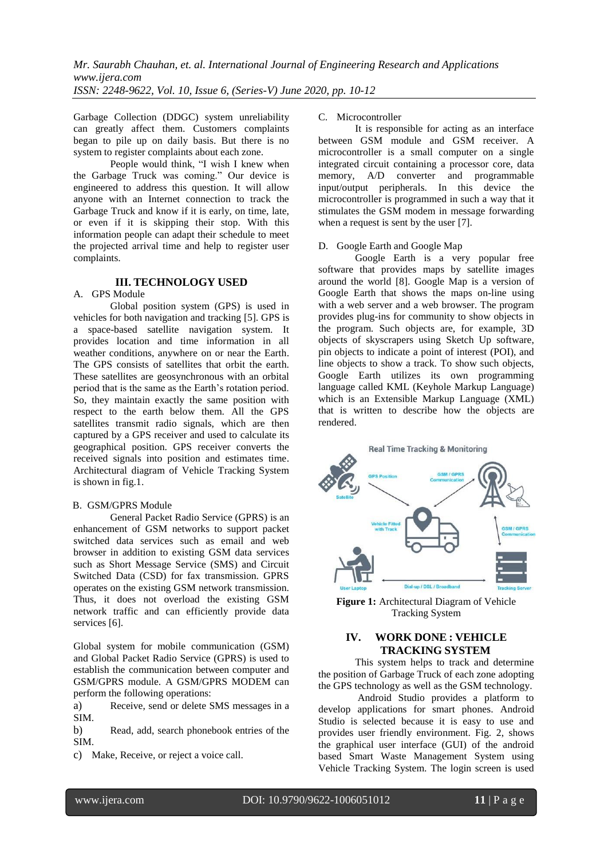Garbage Collection (DDGC) system unreliability can greatly affect them. Customers complaints began to pile up on daily basis. But there is no system to register complaints about each zone.

People would think, "I wish I knew when the Garbage Truck was coming." Our device is engineered to address this question. It will allow anyone with an Internet connection to track the Garbage Truck and know if it is early, on time, late, or even if it is skipping their stop. With this information people can adapt their schedule to meet the projected arrival time and help to register user complaints.

## **III. TECHNOLOGY USED**

### A. GPS Module

Global position system (GPS) is used in vehicles for both navigation and tracking [5]. GPS is a space-based satellite navigation system. It provides location and time information in all weather conditions, anywhere on or near the Earth. The GPS consists of satellites that orbit the earth. These satellites are geosynchronous with an orbital period that is the same as the Earth's rotation period. So, they maintain exactly the same position with respect to the earth below them. All the GPS satellites transmit radio signals, which are then captured by a GPS receiver and used to calculate its geographical position. GPS receiver converts the received signals into position and estimates time. Architectural diagram of Vehicle Tracking System is shown in fig.1.

## B. GSM/GPRS Module

General Packet Radio Service (GPRS) is an enhancement of GSM networks to support packet switched data services such as email and web browser in addition to existing GSM data services such as Short Message Service (SMS) and Circuit Switched Data (CSD) for fax transmission. GPRS operates on the existing GSM network transmission. Thus, it does not overload the existing GSM network traffic and can efficiently provide data services [6].

Global system for mobile communication (GSM) and Global Packet Radio Service (GPRS) is used to establish the communication between computer and GSM/GPRS module. A GSM/GPRS MODEM can perform the following operations:

a) Receive, send or delete SMS messages in a SIM.

b) Read, add, search phonebook entries of the SIM.

c) Make, Receive, or reject a voice call.

#### C. Microcontroller

It is responsible for acting as an interface between GSM module and GSM receiver. A microcontroller is a small computer on a single integrated circuit containing a processor core, data memory, A/D converter and programmable input/output peripherals. In this device the microcontroller is programmed in such a way that it stimulates the GSM modem in message forwarding when a request is sent by the user [7].

#### D. Google Earth and Google Map

Google Earth is a very popular free software that provides maps by satellite images around the world [8]. Google Map is a version of Google Earth that shows the maps on-line using with a web server and a web browser. The program provides plug-ins for community to show objects in the program. Such objects are, for example, 3D objects of skyscrapers using Sketch Up software, pin objects to indicate a point of interest (POI), and line objects to show a track. To show such objects, Google Earth utilizes its own programming language called KML (Keyhole Markup Language) which is an Extensible Markup Language (XML) that is written to describe how the objects are rendered.



**Figure 1:** Architectural Diagram of Vehicle Tracking System

# **IV. WORK DONE : VEHICLE TRACKING SYSTEM**

This system helps to track and determine the position of Garbage Truck of each zone adopting the GPS technology as well as the GSM technology.

Android Studio provides a platform to develop applications for smart phones. Android Studio is selected because it is easy to use and provides user friendly environment. Fig. 2, shows the graphical user interface (GUI) of the android based Smart Waste Management System using Vehicle Tracking System. The login screen is used